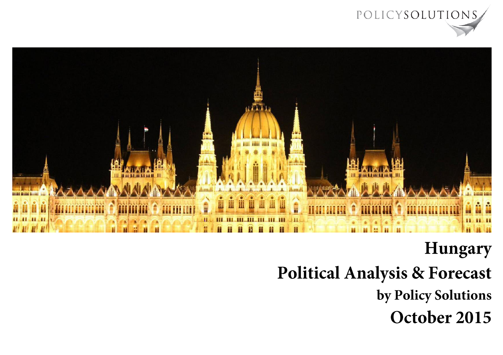



### **Hungary**

## **Political Analysis & Forecast**

by Policy Solutions

October 2015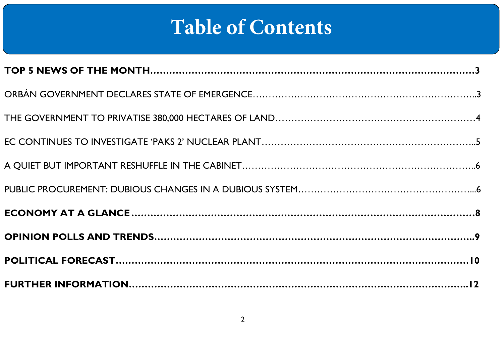# **Table of Contents**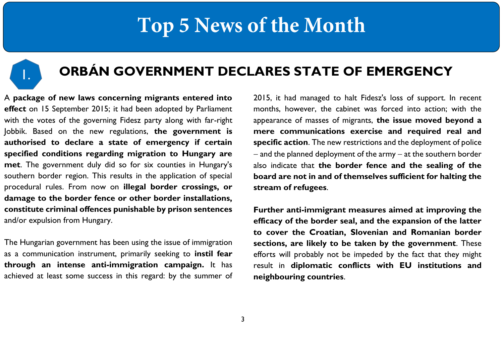

### **ORBÁN GOVERNMENT DECLARES STATE OF EMERGENCY**

A **package of new laws concerning migrants entered into effect** on 15 September 2015; it had been adopted by Parliament with the votes of the governing Fidesz party along with far-right Jobbik. Based on the new regulations, **the government is authorised to declare a state of emergency if certain specified conditions regarding migration to Hungary are met**. The government duly did so for six counties in Hungary's southern border region. This results in the application of special procedural rules. From now on **illegal border crossings, or damage to the border fence or other border installations, constitute criminal offences punishable by prison sentences** and/or expulsion from Hungary.

The Hungarian government has been using the issue of immigration as a communication instrument, primarily seeking to **instil fear through an intense anti-immigration campaign.** It has achieved at least some success in this regard: by the summer of 2015, it had managed to halt Fidesz's loss of support. In recent months, however, the cabinet was forced into action; with the appearance of masses of migrants, **the issue moved beyond a mere communications exercise and required real and specific action**. The new restrictions and the deployment of police  $-$  and the planned deployment of the army  $-$  at the southern border also indicate that **the border fence and the sealing of the board are not in and of themselves sufficient for halting the stream of refugees**.

**Further anti-immigrant measures aimed at improving the efficacy of the border seal, and the expansion of the latter to cover the Croatian, Slovenian and Romanian border sections, are likely to be taken by the government**. These efforts will probably not be impeded by the fact that they might result in **diplomatic conflicts with EU institutions and neighbouring countries**.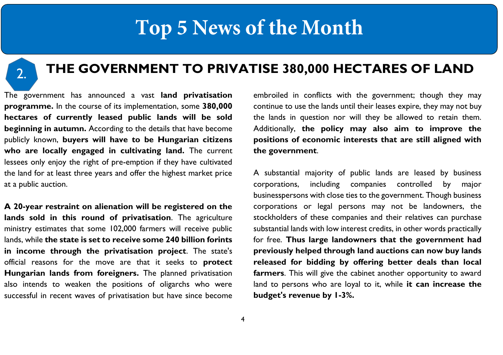2.

### **THE GOVERNMENT TO PRIVATISE 380,000 HECTARES OF LAND**

The government has announced a vast **land privatisation programme.** In the course of its implementation, some **380,000 hectares of currently leased public lands will be sold beginning in autumn.** According to the details that have become publicly known, **buyers will have to be Hungarian citizens who are locally engaged in cultivating land.** The current lessees only enjoy the right of pre-emption if they have cultivated the land for at least three years and offer the highest market price at a public auction.

**A 20-year restraint on alienation will be registered on the lands sold in this round of privatisation**. The agriculture ministry estimates that some 102,000 farmers will receive public lands, while **the state is set to receive some 240 billion forints in income through the privatisation project**. The state's official reasons for the move are that it seeks to **protect Hungarian lands from foreigners.** The planned privatisation also intends to weaken the positions of oligarchs who were successful in recent waves of privatisation but have since become

embroiled in conflicts with the government; though they may continue to use the lands until their leases expire, they may not buy the lands in question nor will they be allowed to retain them. Additionally, **the policy may also aim to improve the positions of economic interests that are still aligned with the government**.

A substantial majority of public lands are leased by business corporations, including companies controlled by major businesspersons with close ties to the government. Though business corporations or legal persons may not be landowners, the stockholders of these companies and their relatives can purchase substantial lands with low interest credits, in other words practically for free. **Thus large landowners that the government had previously helped through land auctions can now buy lands released for bidding by offering better deals than local farmers**. This will give the cabinet another opportunity to award land to persons who are loyal to it, while **it can increase the budget's revenue by 1-3%.**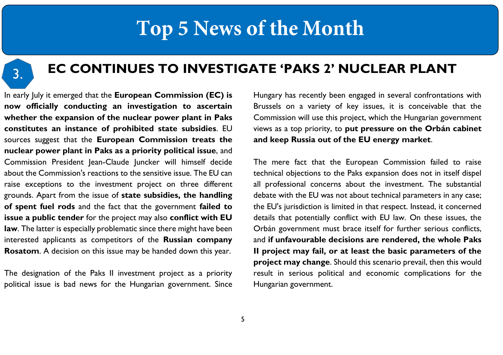3.

### **EC CONTINUES TO INVESTIGATE 'PAKS 2' NUCLEAR PLANT**

In early July it emerged that the **European Commission (EC) is now officially conducting an investigation to ascertain whether the expansion of the nuclear power plant in Paks constitutes an instance of prohibited state subsidies**. EU sources suggest that the **European Commission treats the nuclear power plant in Paks as a priority political issue**, and Commission President Jean-Claude Juncker will himself decide about the Commission's reactions to the sensitive issue. The EU can raise exceptions to the investment project on three different grounds. Apart from the issue of **state subsidies, the handling of spent fuel rods** and the fact that the government **failed to issue a public tender** for the project may also **conflict with EU law**. The latter is especially problematic since there might have been interested applicants as competitors of the **Russian company Rosatom**. A decision on this issue may be handed down this year.

The designation of the Paks II investment project as a priority political issue is bad news for the Hungarian government. Since Hungary has recently been engaged in several confrontations with Brussels on a variety of key issues, it is conceivable that the Commission will use this project, which the Hungarian government views as a top priority, to **put pressure on the Orbán cabinet and keep Russia out of the EU energy market**.

The mere fact that the European Commission failed to raise technical objections to the Paks expansion does not in itself dispel all professional concerns about the investment. The substantial debate with the EU was not about technical parameters in any case; the EU's jurisdiction is limited in that respect. Instead, it concerned details that potentially conflict with EU law. On these issues, the Orbán government must brace itself for further serious conflicts, and **if unfavourable decisions are rendered, the whole Paks II project may fail, or at least the basic parameters of the project may change**. Should this scenario prevail, then this would result in serious political and economic complications for the Hungarian government.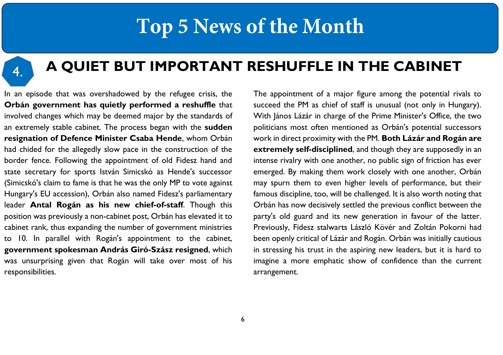4.

### **A QUIET BUT IMPORTANT RESHUFFLE IN THE CABINET**

In an episode that was overshadowed by the refugee crisis, the **Orbán government has quietly performed a reshuffle** that involved changes which may be deemed major by the standards of an extremely stable cabinet. The process began with the **sudden resignation of Defence Minister Csaba Hende**, whom Orbán had chided for the allegedly slow pace in the construction of the border fence. Following the appointment of old Fidesz hand and state secretary for sports István Simicskó as Hende's successor (Simicskó's claim to fame is that he was the only MP to vote against Hungary's EU accession), Orbán also named Fidesz's parliamentary leader **Antal Rogán as his new chief-of-staff**. Though this position was previously a non-cabinet post, Orbán has elevated it to cabinet rank, thus expanding the number of government ministries to 10. In parallel with Rogán's appointment to the cabinet, **government spokesman András Giró-Szász resigned**, which was unsurprising given that Rogán will take over most of his responsibilities.

The appointment of a major figure among the potential rivals to succeed the PM as chief of staff is unusual (not only in Hungary). With János Lázár in charge of the Prime Minister's Office, the two politicians most often mentioned as Orbán's potential successors work in direct proximity with the PM. **Both Lázár and Rogán are extremely self-disciplined**, and though they are supposedly in an intense rivalry with one another, no public sign of friction has ever emerged. By making them work closely with one another, Orbán may spurn them to even higher levels of performance, but their famous discipline, too, will be challenged. It is also worth noting that Orbán has now decisively settled the previous conflict between the party's old guard and its new generation in favour of the latter. Previously, Fidesz stalwarts László Kövér and Zoltán Pokorni had been openly critical of Lázár and Rogán. Orbán was initially cautious in stressing his trust in the aspiring new leaders, but it is hard to imagine a more emphatic show of confidence than the current arrangement.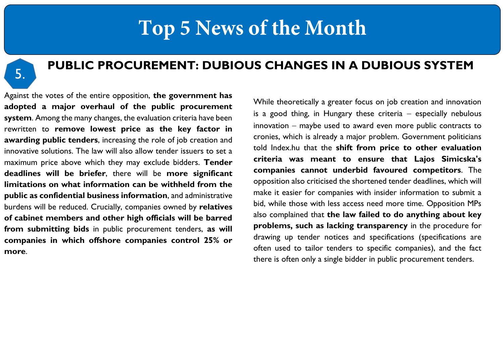

#### **PUBLIC PROCUREMENT: DUBIOUS CHANGES IN A DUBIOUS SYSTEM**

Against the votes of the entire opposition, **the government has adopted a major overhaul of the public procurement system**. Among the many changes, the evaluation criteria have been rewritten to **remove lowest price as the key factor in awarding public tenders**, increasing the role of job creation and innovative solutions. The law will also allow tender issuers to set a maximum price above which they may exclude bidders. **Tender deadlines will be briefer**, there will be **more significant limitations on what information can be withheld from the public as confidential business information**, and administrative burdens will be reduced. Crucially, companies owned by **relatives of cabinet members and other high officials will be barred from submitting bids** in public procurement tenders, **as will companies in which offshore companies control 25% or more**.

While theoretically a greater focus on job creation and innovation is a good thing, in Hungary these criteria  $-$  especially nebulous  $innovation - maybe used to award even more public contracts to$ cronies, which is already a major problem. Government politicians told Index.hu that the **shift from price to other evaluation criteria was meant to ensure that Lajos Simicska's companies cannot underbid favoured competitors**. The opposition also criticised the shortened tender deadlines, which will make it easier for companies with insider information to submit a bid, while those with less access need more time. Opposition MPs also complained that **the law failed to do anything about key problems, such as lacking transparency** in the procedure for drawing up tender notices and specifications (specifications are often used to tailor tenders to specific companies), and the fact there is often only a single bidder in public procurement tenders.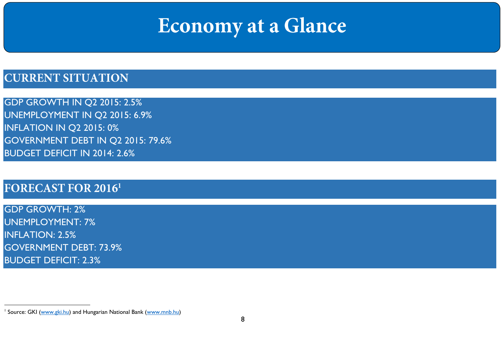# Economy at a Glance

### **CURRENT SITUATION**

GDP GROWTH IN Q2 2015: 2.5% UNEMPLOYMENT IN Q2 2015: 6.9% INFLATION IN Q2 2015: 0% GOVERNMENT DEBT IN Q2 2015: 79.6% BUDGET DEFICIT IN 2014: 2.6%

#### **FORECAST FOR 20161**

GDP GROWTH: 2% UNEMPLOYMENT: 7% INFLATION: 2.5% GOVERNMENT DEBT: 73.9% BUDGET DEFICIT: 2.3%

 $\overline{a}$ 

<sup>&</sup>lt;sup>1</sup> Source: GKI [\(www.gki.hu\)](http://www.gki.hu/) and Hungarian National Bank [\(www.mnb.hu\)](http://www.mnb.hu/)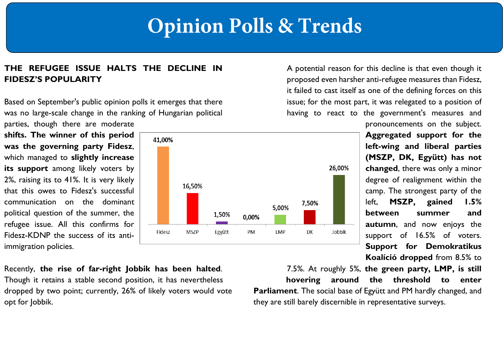# **Opinion Polls & Trends**

#### **THE REFUGEE ISSUE HALTS THE DECLINE IN FIDESZ'S POPULARITY**

Based on September's public opinion polls it emerges that there was no large-scale change in the ranking of Hungarian political parties, though there are moderate

**shifts. The winner of this period was the governing party Fidesz**, which managed to **slightly increase its support** among likely voters by 2%, raising its to 41%. It is very likely that this owes to Fidesz's successful communication on the dominant political question of the summer, the refugee issue. All this confirms for Fidesz-KDNP the success of its antiimmigration policies.



A potential reason for this decline is that even though it proposed even harsher anti-refugee measures than Fidesz, it failed to cast itself as one of the defining forces on this issue; for the most part, it was relegated to a position of having to react to the government's measures and

> pronouncements on the subject. **Aggregated support for the left-wing and liberal parties (MSZP, DK, Együtt) has not changed**, there was only a minor degree of realignment within the camp. The strongest party of the left, **MSZP, gained 1.5% between summer and autumn**, and now enjoys the support of 16.5% of voters. **Support for Demokratikus Koalíció dropped** from 8.5% to

Recently, **the rise of far-right Jobbik has been halted**. Though it retains a stable second position, it has nevertheless dropped by two point; currently, 26% of likely voters would vote opt for Jobbik.

7.5%. At roughly 5%, **the green party, LMP, is still hovering around the threshold to enter Parliament**. The social base of Együtt and PM hardly changed, and they are still barely discernible in representative surveys.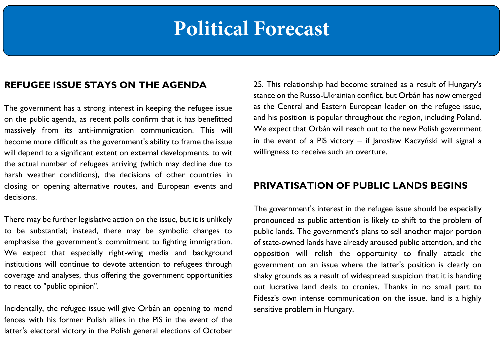# **Political Forecast**

#### **REFUGEE ISSUE STAYS ON THE AGENDA**

The government has a strong interest in keeping the refugee issue on the public agenda, as recent polls confirm that it has benefitted massively from its anti-immigration communication. This will become more difficult as the government's ability to frame the issue will depend to a significant extent on external developments, to wit the actual number of refugees arriving (which may decline due to harsh weather conditions), the decisions of other countries in closing or opening alternative routes, and European events and decisions.

There may be further legislative action on the issue, but it is unlikely to be substantial; instead, there may be symbolic changes to emphasise the government's commitment to fighting immigration. We expect that especially right-wing media and background institutions will continue to devote attention to refugees through coverage and analyses, thus offering the government opportunities to react to "public opinion".

Incidentally, the refugee issue will give Orbán an opening to mend fences with his former Polish allies in the PiS in the event of the latter's electoral victory in the Polish general elections of October 25. This relationship had become strained as a result of Hungary's stance on the Russo-Ukrainian conflict, but Orbán has now emerged as the Central and Eastern European leader on the refugee issue, and his position is popular throughout the region, including Poland. We expect that Orbán will reach out to the new Polish government in the event of a PiS victory  $-$  if Jarosław Kaczyński will signal a willingness to receive such an overture.

#### **PRIVATISATION OF PUBLIC LANDS BEGINS**

The government's interest in the refugee issue should be especially pronounced as public attention is likely to shift to the problem of public lands. The government's plans to sell another major portion of state-owned lands have already aroused public attention, and the opposition will relish the opportunity to finally attack the government on an issue where the latter's position is clearly on shaky grounds as a result of widespread suspicion that it is handing out lucrative land deals to cronies. Thanks in no small part to Fidesz's own intense communication on the issue, land is a highly sensitive problem in Hungary.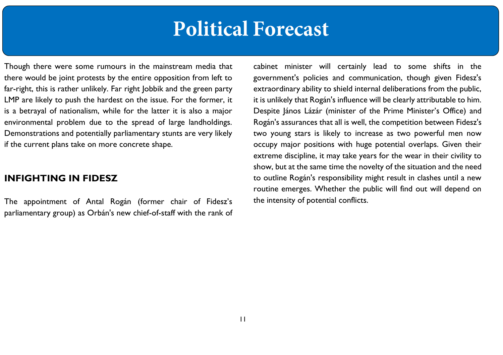## **Political Forecast**

Though there were some rumours in the mainstream media that there would be joint protests by the entire opposition from left to far-right, this is rather unlikely. Far right Jobbik and the green party LMP are likely to push the hardest on the issue. For the former, it is a betrayal of nationalism, while for the latter it is also a major environmental problem due to the spread of large landholdings. Demonstrations and potentially parliamentary stunts are very likely if the current plans take on more concrete shape.

#### **INFIGHTING IN FIDESZ**

The appointment of Antal Rogán (former chair of Fidesz's parliamentary group) as Orbán's new chief-of-staff with the rank of cabinet minister will certainly lead to some shifts in the government's policies and communication, though given Fidesz's extraordinary ability to shield internal deliberations from the public, it is unlikely that Rogán's influence will be clearly attributable to him. Despite János Lázár (minister of the Prime Minister's Office) and Rogán's assurances that all is well, the competition between Fidesz's two young stars is likely to increase as two powerful men now occupy major positions with huge potential overlaps. Given their extreme discipline, it may take years for the wear in their civility to show, but at the same time the novelty of the situation and the need to outline Rogán's responsibility might result in clashes until a new routine emerges. Whether the public will find out will depend on the intensity of potential conflicts.